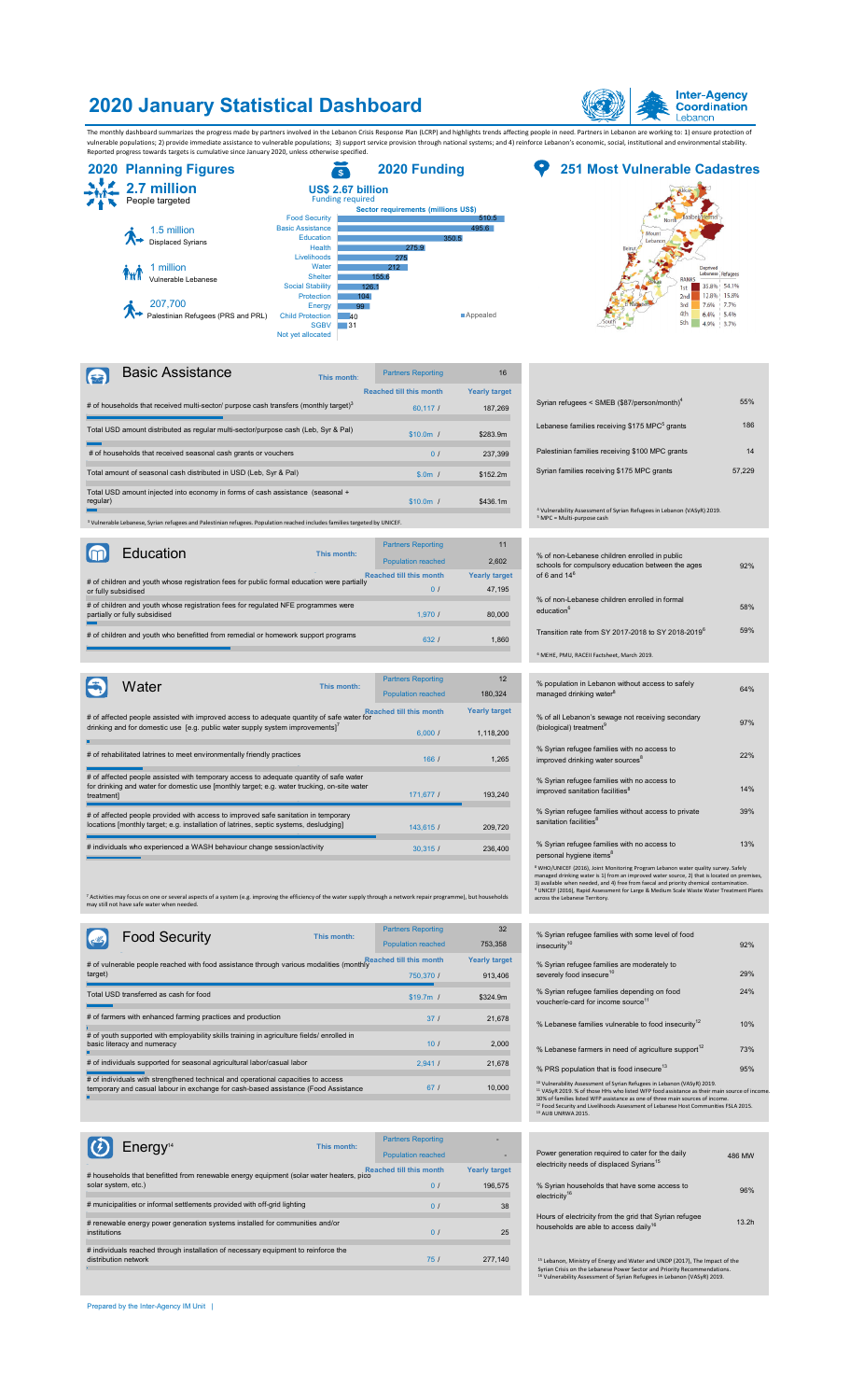## **2020 January Statistical Dashboard**



The monthly dashboard summarizes the progress made by partners involved in the Lebanon Crisis Response Plan (LCRP) and highlights trends affecting people in need. Partners in Lebanon are working to: 1) ensure protection of





| Basic Assistance                                                                                                                     | This month: | <b>Partners Reporting</b>      | 16                   |
|--------------------------------------------------------------------------------------------------------------------------------------|-------------|--------------------------------|----------------------|
|                                                                                                                                      |             | <b>Reached till this month</b> | <b>Yearly target</b> |
| # of households that received multi-sector/ purpose cash transfers (monthly target) <sup>3</sup>                                     |             | 60.117/                        | 187.269              |
| Total USD amount distributed as regular multi-sector/purpose cash (Leb, Syr & Pal)                                                   |             | $$10.0m$ /                     | \$283.9m             |
| # of households that received seasonal cash grants or vouchers                                                                       |             | 0 <sub>l</sub>                 | 237.399              |
| Total amount of seasonal cash distributed in USD (Leb, Syr & Pal)                                                                    |             | $$.0m$ /                       | \$152.2m             |
| Total USD amount injected into economy in forms of cash assistance (seasonal +<br>regular)                                           |             | $$10.0m$ /                     | \$436.1m             |
| <sup>3</sup> Vulnerable Lebanese, Syrian refugees and Palestinian refugees. Population reached includes families targeted by UNICEF. |             |                                |                      |

| Education                                                                                                          | This month: | <b>Partners Reporting</b><br><b>Population reached</b> | 11<br>2.602                    |
|--------------------------------------------------------------------------------------------------------------------|-------------|--------------------------------------------------------|--------------------------------|
| # of children and youth whose registration fees for public formal education were partially<br>or fully subsidised  |             | <b>Reached fill this month</b><br>$\Omega$             | <b>Yearly target</b><br>47.195 |
| # of children and youth whose registration fees for regulated NFE programmes were<br>partially or fully subsidised |             | 1.970 I                                                | 80,000                         |
| # of children and youth who benefitted from remedial or homework support programs                                  |             | 632/                                                   | 1.860                          |

|            |                                                                                                                                                                                       |             | <b>Partners Reporting</b>      | 12                   |
|------------|---------------------------------------------------------------------------------------------------------------------------------------------------------------------------------------|-------------|--------------------------------|----------------------|
|            | Water                                                                                                                                                                                 | This month: | <b>Population reached</b>      | 180.324              |
|            | # of affected people assisted with improved access to adequate quantity of safe water for                                                                                             |             | <b>Reached till this month</b> | <b>Yearly target</b> |
|            | drinking and for domestic use [e.g. public water supply system improvements] <sup>7</sup>                                                                                             |             | 6,000/                         | 1,118,200            |
| п          |                                                                                                                                                                                       |             |                                |                      |
|            | # of rehabilitated latrines to meet environmentally friendly practices                                                                                                                |             | 166/                           | 1.265                |
|            | # of affected people assisted with temporary access to adequate quantity of safe water<br>for drinking and water for domestic use [monthly target; e.g. water trucking, on-site water |             |                                |                      |
| treatmentl |                                                                                                                                                                                       |             | 171,677 /                      | 193.240              |
|            | # of affected people provided with access to improved safe sanitation in temporary                                                                                                    |             |                                |                      |
|            | locations [monthly target; e.g. installation of latrines, septic systems, desludging]                                                                                                 |             | 143,615 /                      | 209,720              |
|            |                                                                                                                                                                                       |             |                                |                      |
|            | # individuals who experienced a WASH behaviour change session/activity                                                                                                                |             | 30.315/                        | 236,400              |
|            |                                                                                                                                                                                       |             |                                |                      |

<sup>7</sup> Activities may focus on one or several aspects of a system (e.g. improving the efficiency of the water supply through a network repair programme), but households<br>may still not have safe water when needed.

|                                        |                      | <b>Partners Reporting</b>                                                                                                                                                                                                                                                                                                                                                                                                      | 32                   | % Syrian refugee families with some leve                                                                                           |
|----------------------------------------|----------------------|--------------------------------------------------------------------------------------------------------------------------------------------------------------------------------------------------------------------------------------------------------------------------------------------------------------------------------------------------------------------------------------------------------------------------------|----------------------|------------------------------------------------------------------------------------------------------------------------------------|
|                                        |                      | <b>Population reached</b>                                                                                                                                                                                                                                                                                                                                                                                                      | 753.358              | insecurity <sup>10</sup>                                                                                                           |
|                                        |                      |                                                                                                                                                                                                                                                                                                                                                                                                                                | <b>Yearly target</b> | % Syrian refugee families are moderately                                                                                           |
|                                        |                      | 750,370 /                                                                                                                                                                                                                                                                                                                                                                                                                      | 913,406              | severely food insecure <sup>10</sup>                                                                                               |
| Total USD transferred as cash for food |                      | $$19.7m$ /                                                                                                                                                                                                                                                                                                                                                                                                                     | \$324.9m             | % Syrian refugee families depending on<br>voucher/e-card for income source <sup>11</sup>                                           |
|                                        |                      | 37/                                                                                                                                                                                                                                                                                                                                                                                                                            | 21,678               | % Lebanese families vulnerable to food i                                                                                           |
| basic literacy and numeracy            |                      | 10 <sub>l</sub>                                                                                                                                                                                                                                                                                                                                                                                                                | 2,000                | % Lebanese farmers in need of agriculture                                                                                          |
|                                        |                      | 2.9411                                                                                                                                                                                                                                                                                                                                                                                                                         | 21,678               | % PRS population that is food insecure <sup>13</sup>                                                                               |
|                                        |                      | 67/                                                                                                                                                                                                                                                                                                                                                                                                                            | 10,000               | <sup>10</sup> Vulnerability Assessment of Syrian Refugees in Leb<br><sup>11</sup> VASyR 2019. % of those HHs who listed WFP food a |
|                                        | <b>Food Security</b> | This month:<br># of farmers with enhanced farming practices and production<br># of youth supported with employability skills training in agriculture fields/ enrolled in<br># of individuals supported for seasonal agricultural labor/casual labor<br># of individuals with strengthened technical and operational capacities to access<br>temporary and casual labour in exchange for cash-based assistance (Food Assistance |                      |                                                                                                                                    |

| Energy <sup>14</sup>                                                                    | This month: | <b>Partners Reporting</b>      |                      |
|-----------------------------------------------------------------------------------------|-------------|--------------------------------|----------------------|
|                                                                                         |             | <b>Population reached</b>      |                      |
| # households that benefitted from renewable energy equipment (solar water heaters, pico |             | <b>Reached till this month</b> | <b>Yearly target</b> |
| solar system, etc.)                                                                     |             | $\Omega$                       | 196,575              |
|                                                                                         |             |                                |                      |
| # municipalities or informal settlements provided with off-grid lighting                |             | $\Omega$                       | 38                   |
|                                                                                         |             |                                |                      |
| # renewable energy power generation systems installed for communities and/or            |             |                                |                      |
| institutions                                                                            |             | 0 <sub>l</sub>                 | 25                   |
|                                                                                         |             |                                |                      |
| # individuals reached through installation of necessary equipment to reinforce the      |             |                                |                      |
| distribution network                                                                    |             | 75 <sub>l</sub>                | 277.140              |
|                                                                                         |             |                                |                      |
|                                                                                         |             |                                |                      |

|  |  |  | Prepared by the Inter-Agency IM Unit |  |  |  |
|--|--|--|--------------------------------------|--|--|--|
|--|--|--|--------------------------------------|--|--|--|

| is month        | <b>Yearly target</b> |                                                                                                                            |        |
|-----------------|----------------------|----------------------------------------------------------------------------------------------------------------------------|--------|
| 60,117 /        | 187,269              | Syrian refugees < SMEB (\$87/person/month) <sup>4</sup>                                                                    | 55%    |
| $10.0m$ /       | \$283.9m             | Lebanese families receiving \$175 MPC <sup>5</sup> grants                                                                  | 186    |
| 0/              | 237,399              | Palestinian families receiving \$100 MPC grants                                                                            | 14     |
| $$.0m$ /        | \$152.2m             | Syrian families receiving \$175 MPC grants                                                                                 | 57,229 |
| 10.0m /         | \$436.1m             | <sup>4</sup> Vulnerability Assessment of Syrian Refugees in Lebanon (VASyR) 2019.<br><sup>5</sup> MPC = Multi-purpose cash |        |
| Reporting       | 11                   |                                                                                                                            |        |
| n reached       | 2,602                | % of non-Lebanese children enrolled in public<br>schools for compulsory education between the ages                         | 92%    |
| is month        | <b>Yearly target</b> | of 6 and $14^6$                                                                                                            |        |
| 0/              | 47,195               | % of non-Lebanese children enrolled in formal                                                                              |        |
| 1,9701          | 80,000               | education <sup>6</sup>                                                                                                     | 58%    |
| 632/            | 1,860                | Transition rate from SY 2017-2018 to SY 2018-2019 <sup>6</sup>                                                             | 59%    |
|                 |                      | <sup>6</sup> MEHE, PMU, RACEII Factsheet, March 2019.                                                                      |        |
| Reporting       | 12                   | % population in Lebanon without access to safely                                                                           |        |
| n reached       | 180,324              | managed drinking water <sup>8</sup>                                                                                        | 64%    |
| <b>is month</b> | <b>Yearly target</b> | % of all Lebanon's sewage not receiving secondary                                                                          |        |
| 6,0001          | 1,118,200            | (biological) treatment <sup>9</sup>                                                                                        | 97%    |
| 166/            | 1,265                | % Syrian refugee families with no access to<br>improved drinking water sources <sup>8</sup>                                | 22%    |
| 71.677 /        | 193,240              | % Syrian refugee families with no access to<br>improved sanitation facilities <sup>8</sup>                                 | 14%    |
| 43.615 /        | 209,720              | % Syrian refugee families without access to private<br>sanitation facilities <sup>8</sup>                                  | 39%    |
| 30,315 /        | 236,400              | % Syrian refugee families with no access to<br>personal hygiene items <sup>8</sup>                                         | 13%    |

<sup>8</sup> Who()UNICEF (2016), Joint Monitoring Program Lebanon water quality survey. Safely<br>managed drinking water is 1) from an improved water source, 2) that is located on premises,<br>3) available when needed, and 4) free from f

| <b>Partners Reporting</b> | 32                   |                                                                                                                                                                                                                                                                                                                                                                                                                   |     |  |
|---------------------------|----------------------|-------------------------------------------------------------------------------------------------------------------------------------------------------------------------------------------------------------------------------------------------------------------------------------------------------------------------------------------------------------------------------------------------------------------|-----|--|
| <b>Population reached</b> | 753.358              | % Syrian refugee families with some level of food<br>insecurity <sup>10</sup>                                                                                                                                                                                                                                                                                                                                     | 92% |  |
| ched till this month      | <b>Yearly target</b> | % Syrian refugee families are moderately to                                                                                                                                                                                                                                                                                                                                                                       |     |  |
| 750,370 /                 | 913,406              | severely food insecure <sup>10</sup>                                                                                                                                                                                                                                                                                                                                                                              |     |  |
| $$19.7m$ /                | \$324.9m             | % Syrian refugee families depending on food<br>voucher/e-card for income source <sup>11</sup>                                                                                                                                                                                                                                                                                                                     | 24% |  |
| 37/                       | 21,678               | % Lebanese families vulnerable to food insecurity <sup>12</sup>                                                                                                                                                                                                                                                                                                                                                   | 10% |  |
| 10 <sub>l</sub>           | 2,000                | % Lebanese farmers in need of agriculture support <sup>12</sup>                                                                                                                                                                                                                                                                                                                                                   | 73% |  |
| 2.941/                    | 21,678               | % PRS population that is food insecure <sup>13</sup>                                                                                                                                                                                                                                                                                                                                                              | 95% |  |
| 67/                       | 10,000               | <sup>10</sup> Vulnerability Assessment of Syrian Refugees in Lebanon (VASyR) 2019.<br><sup>11</sup> VASyR 2019. % of those HHs who listed WFP food assistance as their main source of income.<br>30% of families listed WEP assistance as one of three main sources of income.<br><sup>12</sup> Food Security and Livelihoods Assessment of Lebanese Host Communities FSLA 2015.<br><sup>13</sup> AUB UNRWA 2015. |     |  |

|                   |                                                                                                             |                      | <u>I aluicio I tepuluitu</u> |
|-------------------|-------------------------------------------------------------------------------------------------------------|----------------------|------------------------------|
| 486 MW            | Power generation required to cater for the daily                                                            |                      | <b>Population reached</b>    |
|                   | electricity needs of displaced Syrians <sup>15</sup>                                                        | <b>Yearly target</b> | ched till this month         |
| 96%               | % Syrian households that have some access to<br>electricity <sup>16</sup>                                   | 196,575              | 0 <sub>l</sub>               |
|                   |                                                                                                             | 38                   | $\Omega$                     |
| 13.2 <sub>h</sub> | Hours of electricity from the grid that Syrian refugee<br>households are able to access daily <sup>16</sup> | 25                   | $\Omega$                     |
|                   |                                                                                                             |                      |                              |
|                   | <sup>15</sup> Lebanon, Ministry of Energy and Water and UNDP (2017). The Impact of the                      | 277.140              | 75/                          |

<sup>15</sup> Lebanon, Ministry of Energy and Water and UNDP (2017), The Impact of the<br>Syrian Crisis on the Lebanese Power Sector and Priority Recommendations.<br><sup>16</sup> Vulnerability Assessment of Syrian Refugees in Lebanon (VASyR) 201